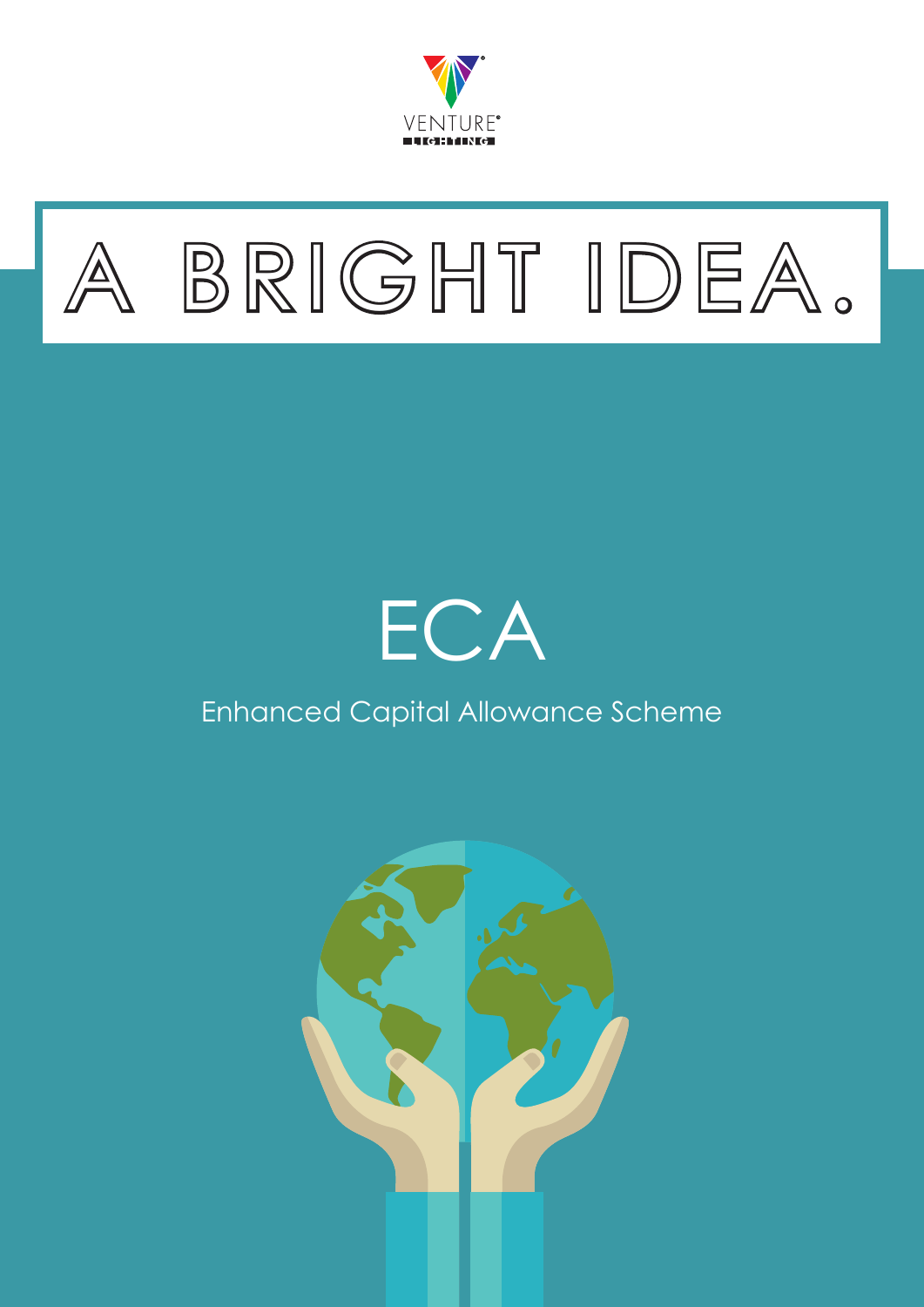



# **ECA**

## Enhanced Capital Allowance Scheme

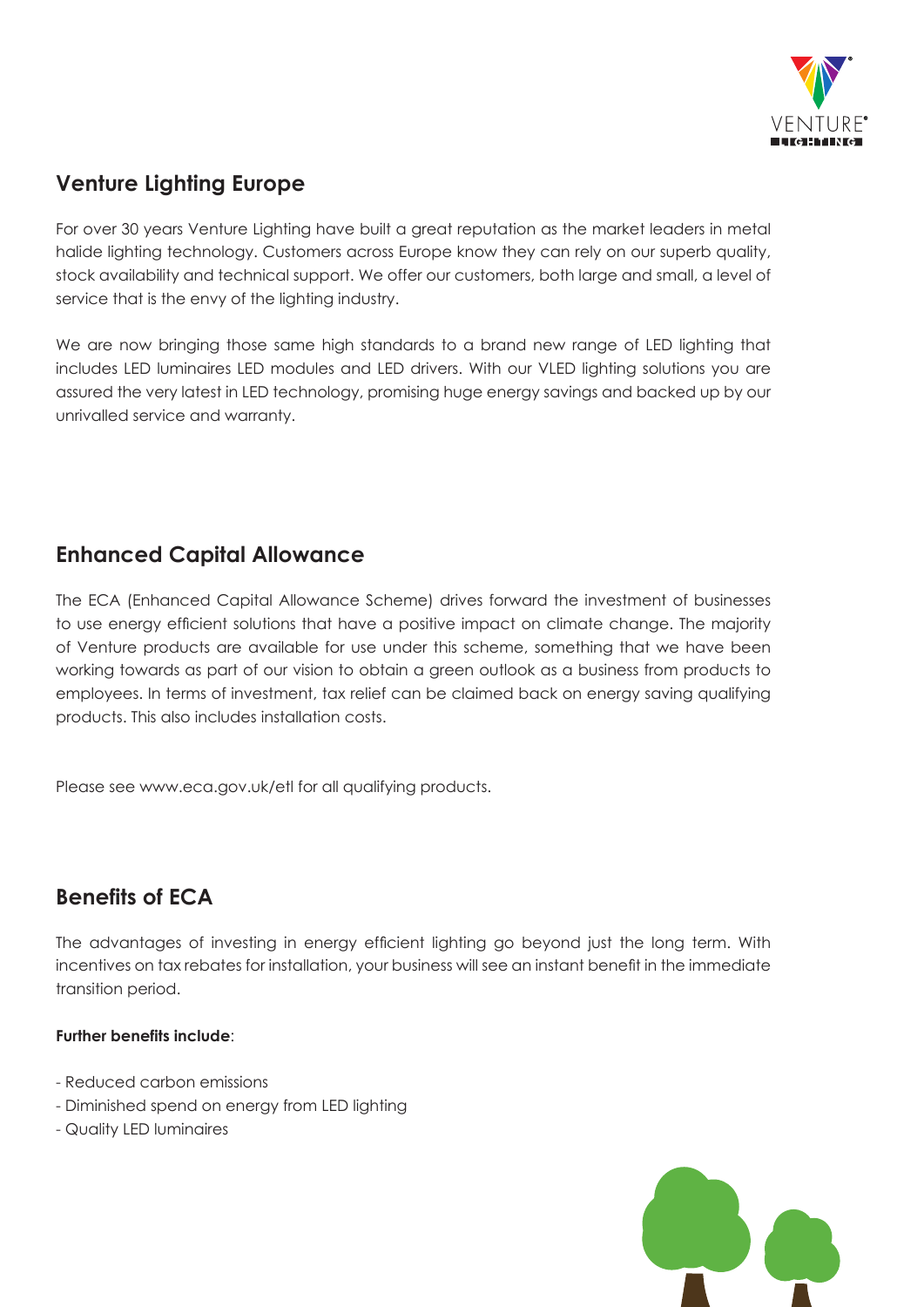

## **Venture Lighting Europe**

For over 30 years Venture Lighting have built a great reputation as the market leaders in metal halide lighting technology. Customers across Europe know they can rely on our superb quality, stock availability and technical support. We offer our customers, both large and small, a level of service that is the envy of the lighting industry.

We are now bringing those same high standards to a brand new range of LED lighting that includes LED luminaires LED modules and LED drivers. With our VLED lighting solutions you are assured the very latest in LED technology, promising huge energy savings and backed up by our unrivalled service and warranty.

### **Enhanced Capital Allowance**

The ECA (Enhanced Capital Allowance Scheme) drives forward the investment of businesses to use energy efficient solutions that have a positive impact on climate change. The majority of Venture products are available for use under this scheme, something that we have been working towards as part of our vision to obtain a green outlook as a business from products to employees. In terms of investment, tax relief can be claimed back on energy saving qualifying products. This also includes installation costs.

Please see www.eca.gov.uk/etl for all qualifying products.

## **Benefits of ECA**

The advantages of investing in energy efficient lighting go beyond just the long term. With incentives on tax rebates for installation, your business will see an instant benefit in the immediate transition period.

#### **Further benefits include**:

- Reduced carbon emissions
- Diminished spend on energy from LED lighting
- Quality LED luminaires

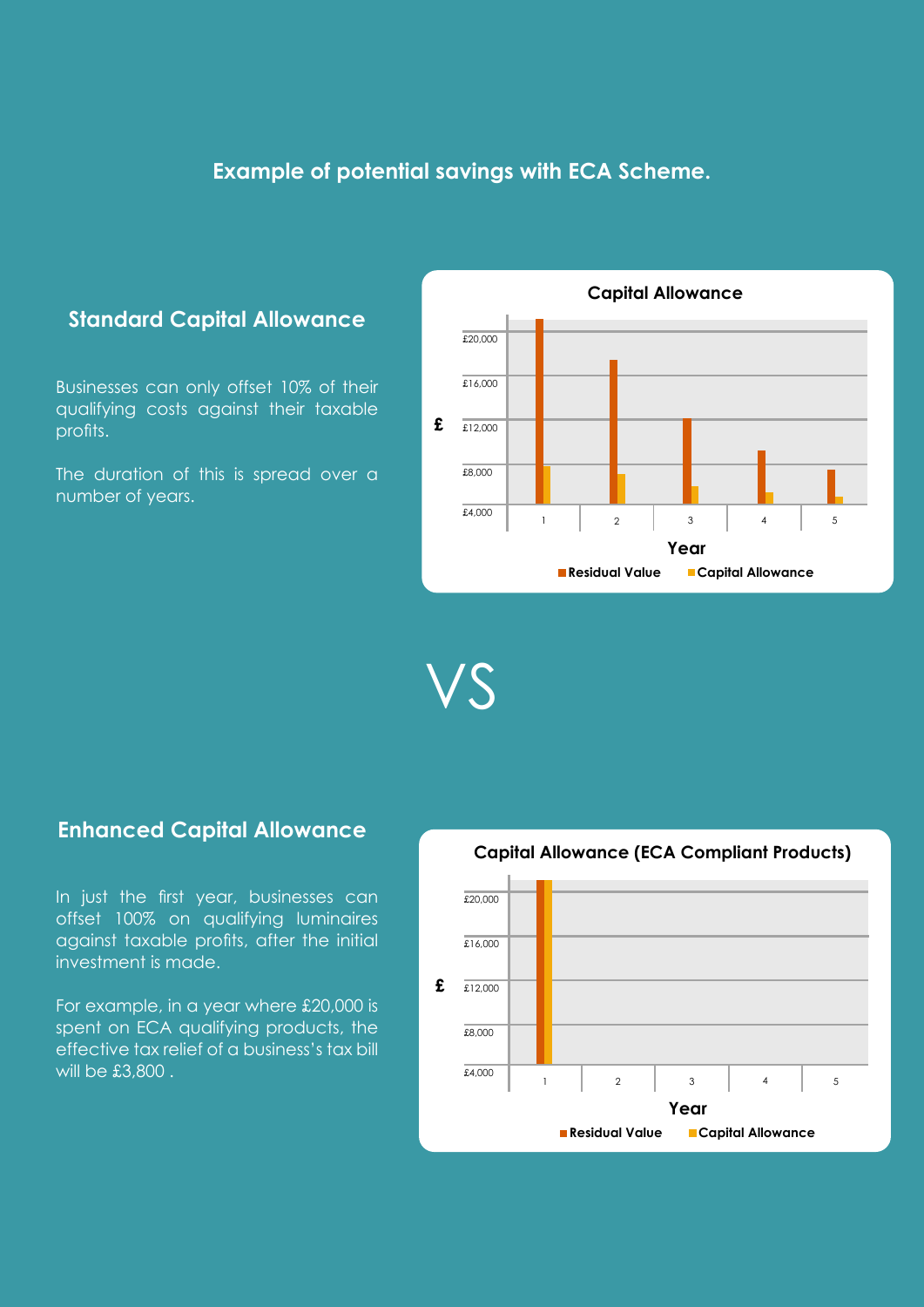#### **Example of potential savings with ECA Scheme.**

#### **Standard Capital Allowance**

Businesses can only offset 10% of their qualifying costs against their taxable profits.

The duration of this is spread over a number of years.



VS

#### **Enhanced Capital Allowance**

In just the first year, businesses can offset 100% on qualifying luminaires against taxable profits, after the initial investment is made.

For example, in a year where £20,000 is spent on ECA qualifying products, the effective tax relief of a business's tax bill  $\frac{1}{2}$  will be £3,800 . The set of  $\frac{1}{2}$